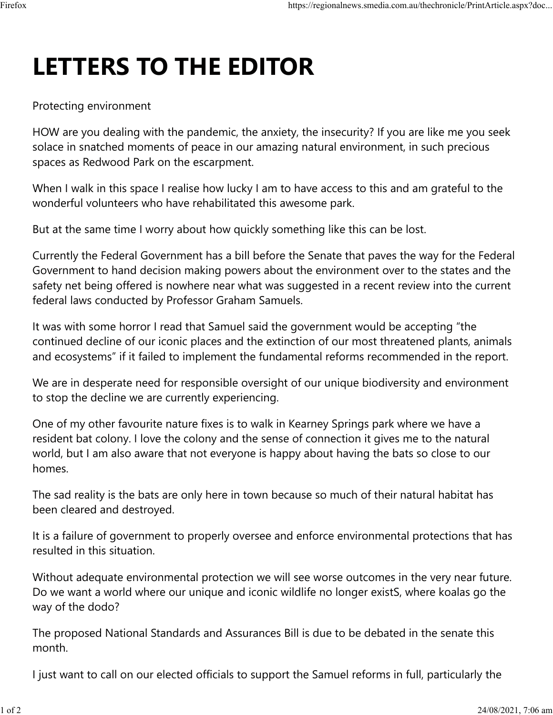## **LETTERS TO THE EDITOR**

## Protecting environment

HOW are you dealing with the pandemic, the anxiety, the insecurity? If you are like me you seek solace in snatched moments of peace in our amazing natural environment, in such precious spaces as Redwood Park on the escarpment.

When I walk in this space I realise how lucky I am to have access to this and am grateful to the wonderful volunteers who have rehabilitated this awesome park.

But at the same time I worry about how quickly something like this can be lost.

Currently the Federal Government has a bill before the Senate that paves the way for the Federal Government to hand decision making powers about the environment over to the states and the safety net being offered is nowhere near what was suggested in a recent review into the current federal laws conducted by Professor Graham Samuels.

It was with some horror I read that Samuel said the government would be accepting "the continued decline of our iconic places and the extinction of our most threatened plants, animals and ecosystems" if it failed to implement the fundamental reforms recommended in the report.

We are in desperate need for responsible oversight of our unique biodiversity and environment to stop the decline we are currently experiencing.

One of my other favourite nature fixes is to walk in Kearney Springs park where we have a resident bat colony. I love the colony and the sense of connection it gives me to the natural world, but I am also aware that not everyone is happy about having the bats so close to our homes.

The sad reality is the bats are only here in town because so much of their natural habitat has been cleared and destroyed.

It is a failure of government to properly oversee and enforce environmental protections that has resulted in this situation.

Without adequate environmental protection we will see worse outcomes in the very near future. Do we want a world where our unique and iconic wildlife no longer existS, where koalas go the way of the dodo?

The proposed National Standards and Assurances Bill is due to be debated in the senate this month.

I just want to call on our elected officials to support the Samuel reforms in full, particularly the